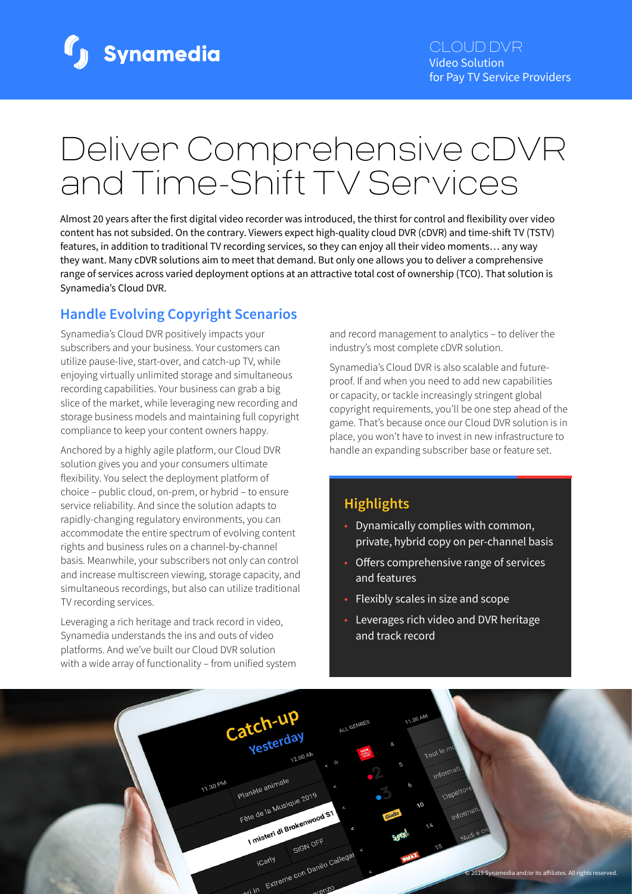

# Deliver Comprehensive cDVR and Time-Shift TV Services

Almost 20 years after the first digital video recorder was introduced, the thirst for control and flexibility over video content has not subsided. On the contrary. Viewers expect high-quality cloud DVR (cDVR) and time-shift TV (TSTV) features, in addition to traditional TV recording services, so they can enjoy all their video moments… any way they want. Many cDVR solutions aim to meet that demand. But only one allows you to deliver a comprehensive range of services across varied deployment options at an attractive total cost of ownership (TCO). That solution is Synamedia's Cloud DVR.

# **Handle Evolving Copyright Scenarios**

Synamedia's Cloud DVR positively impacts your subscribers and your business. Your customers can utilize pause-live, start-over, and catch-up TV, while enjoying virtually unlimited storage and simultaneous recording capabilities. Your business can grab a big slice of the market, while leveraging new recording and storage business models and maintaining full copyright compliance to keep your content owners happy.

Anchored by a highly agile platform, our Cloud DVR solution gives you and your consumers ultimate flexibility. You select the deployment platform of choice – public cloud, on-prem, or hybrid – to ensure service reliability. And since the solution adapts to rapidly-changing regulatory environments, you can accommodate the entire spectrum of evolving content rights and business rules on a channel-by-channel basis. Meanwhile, your subscribers not only can control and increase multiscreen viewing, storage capacity, and simultaneous recordings, but also can utilize traditional TV recording services.

Leveraging a rich heritage and track record in video, Synamedia understands the ins and outs of video platforms. And we've built our Cloud DVR solution with a wide array of functionality – from unified system and record management to analytics – to deliver the industry's most complete cDVR solution.

Synamedia's Cloud DVR is also scalable and futureproof. If and when you need to add new capabilities or capacity, or tackle increasingly stringent global copyright requirements, you'll be one step ahead of the game. That's because once our Cloud DVR solution is in place, you won't have to invest in new infrastructure to handle an expanding subscriber base or feature set.

# **Highlights**

- Dynamically complies with common, private, hybrid copy on per-channel basis
- Offers comprehensive range of services and features
- Flexibly scales in size and scope
- Leverages rich video and DVR heritage and track record